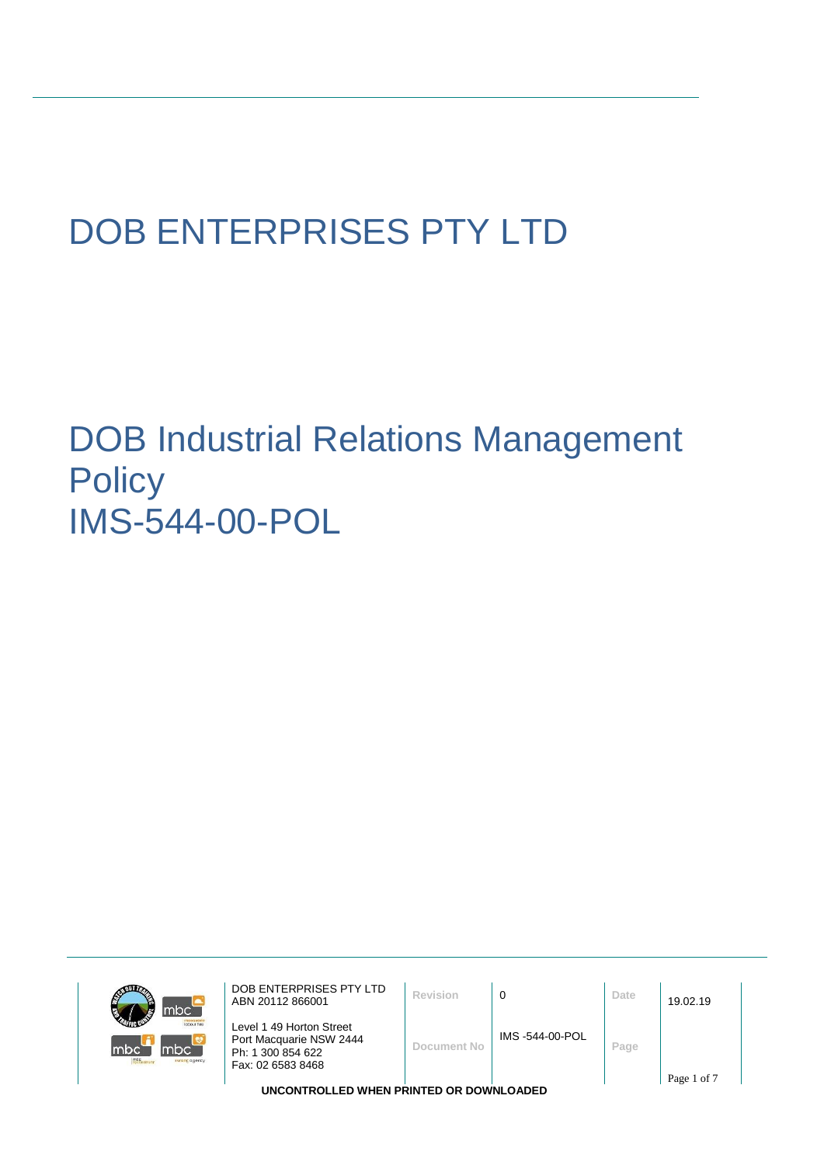# DOB ENTERPRISES PTY LTD

## DOB Industrial Relations Management **Policy** IMS-544-00-POL

| mbc'                                          | DOB ENTERPRISES PTY LTD<br>ABN 20112 866001                                                   | Revision    |                | Date | 19.02.19    |  |  |
|-----------------------------------------------|-----------------------------------------------------------------------------------------------|-------------|----------------|------|-------------|--|--|
| <b>Introur hire</b><br>nbc'<br>sursing agency | Level 1 49 Horton Street<br>Port Macquarie NSW 2444<br>Ph: 1 300 854 622<br>Fax: 02 6583 8468 | Document No | IMS-544-00-POL | Page |             |  |  |
|                                               |                                                                                               |             |                |      | Page 1 of 7 |  |  |
| UNCONTROLLED WHEN PRINTED OR DOWNLOADED       |                                                                                               |             |                |      |             |  |  |

mbo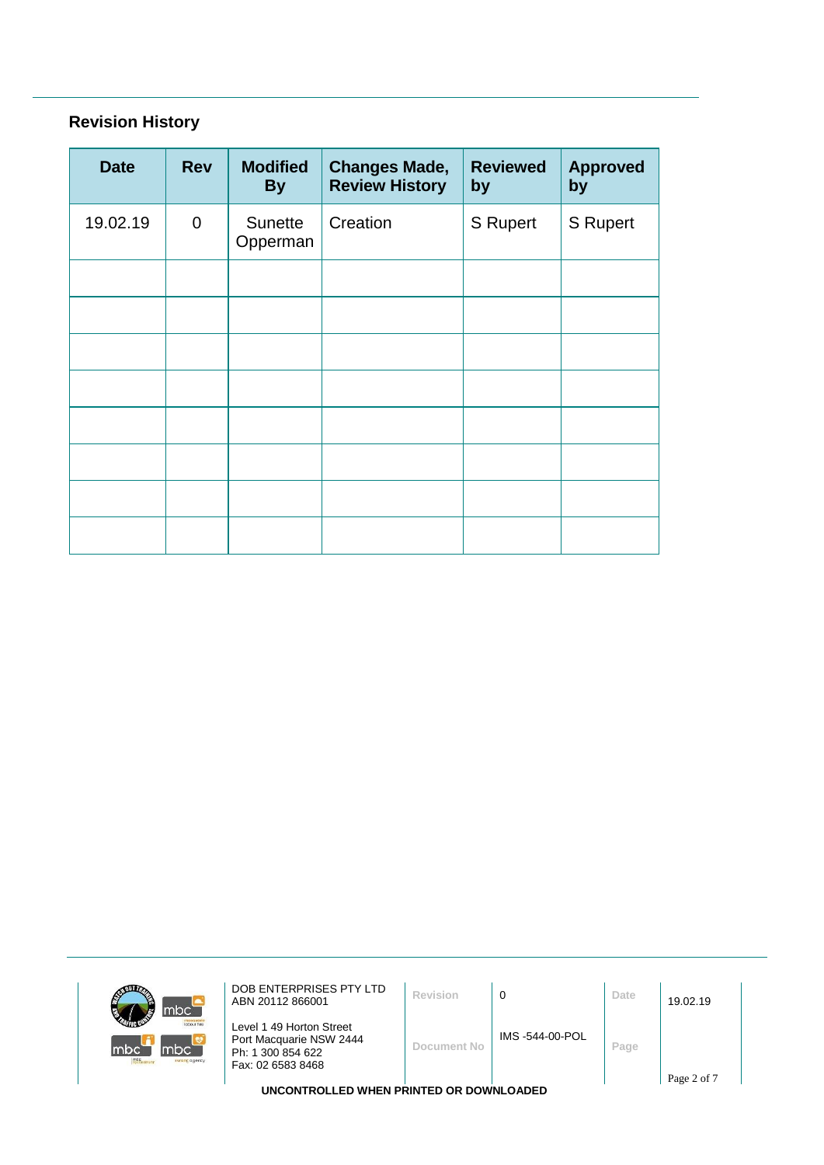### **Revision History**

 $\mathbf{m}$ 

mbc

| <b>Date</b> | <b>Rev</b>  | <b>Modified</b><br><b>By</b> | <b>Changes Made,</b><br><b>Review History</b> | <b>Reviewed</b><br>by | <b>Approved</b><br>by |
|-------------|-------------|------------------------------|-----------------------------------------------|-----------------------|-----------------------|
| 19.02.19    | $\mathbf 0$ | Sunette<br>Opperman          | Creation                                      | S Rupert              | S Rupert              |
|             |             |                              |                                               |                       |                       |
|             |             |                              |                                               |                       |                       |
|             |             |                              |                                               |                       |                       |
|             |             |                              |                                               |                       |                       |
|             |             |                              |                                               |                       |                       |
|             |             |                              |                                               |                       |                       |
|             |             |                              |                                               |                       |                       |
|             |             |                              |                                               |                       |                       |

| mbc <sup>'</sup>                          | DOB ENTERPRISES PTY LTD<br>ABN 20112 866001                                                   | Revision    | 0              | Date | 19.02.19    |  |
|-------------------------------------------|-----------------------------------------------------------------------------------------------|-------------|----------------|------|-------------|--|
| <b>Indeguant</b><br>mbc<br>nursing agency | Level 1 49 Horton Street<br>Port Macquarie NSW 2444<br>Ph: 1 300 854 622<br>Fax: 02 6583 8468 | Document No | IMS-544-00-POL | Page | Page 2 of 7 |  |
|                                           | <b>IINGONTROLLER WILFN BRINTER OR ROWNLO LRED</b>                                             |             |                |      |             |  |

**UNCONTROLLED WHEN PRINTED OR DOWNLOADED**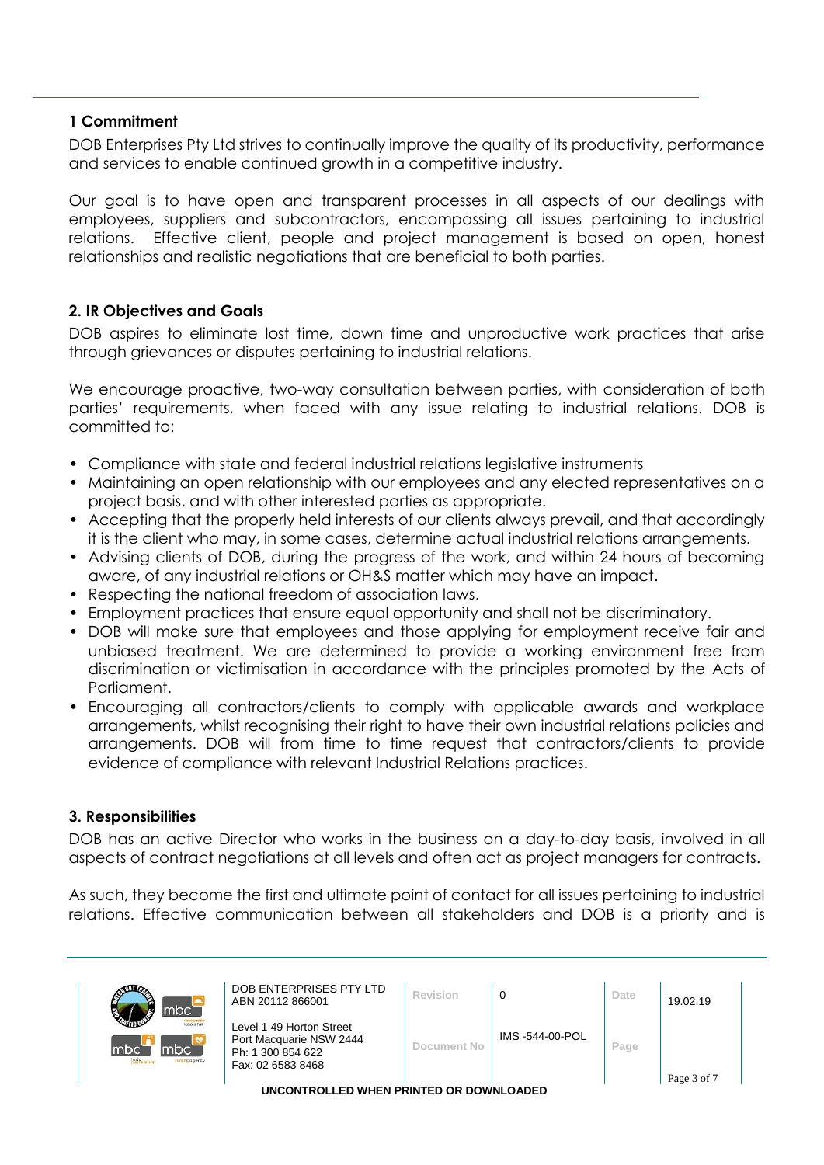#### **1 Commitment**

DOB Enterprises Pty Ltd strives to continually improve the quality of its productivity, performance and services to enable continued growth in a competitive industry.

Our goal is to have open and transparent processes in all aspects of our dealings with employees, suppliers and subcontractors, encompassing all issues pertaining to industrial relations. Effective client, people and project management is based on open, honest relationships and realistic negotiations that are beneficial to both parties.

#### **2. IR Objectives and Goals**

DOB aspires to eliminate lost time, down time and unproductive work practices that arise through grievances or disputes pertaining to industrial relations.

We encourage proactive, two-way consultation between parties, with consideration of both parties' requirements, when faced with any issue relating to industrial relations. DOB is committed to:

- Compliance with state and federal industrial relations legislative instruments
- Maintaining an open relationship with our employees and any elected representatives on a project basis, and with other interested parties as appropriate.
- Accepting that the properly held interests of our clients always prevail, and that accordingly it is the client who may, in some cases, determine actual industrial relations arrangements.
- Advising clients of DOB, during the progress of the work, and within 24 hours of becoming aware, of any industrial relations or OH&S matter which may have an impact.
- Respecting the national freedom of association laws.
- Employment practices that ensure equal opportunity and shall not be discriminatory.
- DOB will make sure that employees and those applying for employment receive fair and unbiased treatment. We are determined to provide a working environment free from discrimination or victimisation in accordance with the principles promoted by the Acts of Parliament.
- Encouraging all contractors/clients to comply with applicable awards and workplace arrangements, whilst recognising their right to have their own industrial relations policies and arrangements. DOB will from time to time request that contractors/clients to provide evidence of compliance with relevant Industrial Relations practices.

#### **3. Responsibilities**

DOB has an active Director who works in the business on a day-to-day basis, involved in all aspects of contract negotiations at all levels and often act as project managers for contracts.

As such, they become the first and ultimate point of contact for all issues pertaining to industrial relations. Effective communication between all stakeholders and DOB is a priority and is

| mbc <sup>-</sup>                                     | DOB ENTERPRISES PTY LTD<br>ABN 20112 866001                                                   | Revision    |                 | Date | 19.02.19    |  |
|------------------------------------------------------|-----------------------------------------------------------------------------------------------|-------------|-----------------|------|-------------|--|
| <b>Icloour hire</b><br>mbci<br>mbc<br>nursing agency | Level 1 49 Horton Street<br>Port Macquarie NSW 2444<br>Ph: 1 300 854 622<br>Fax: 02 6583 8468 | Document No | IMS -544-00-POL | Page |             |  |
|                                                      |                                                                                               |             |                 |      | Page 3 of 7 |  |

**UNCONTROLLED WHEN PRINTED OR DOWNLOADED**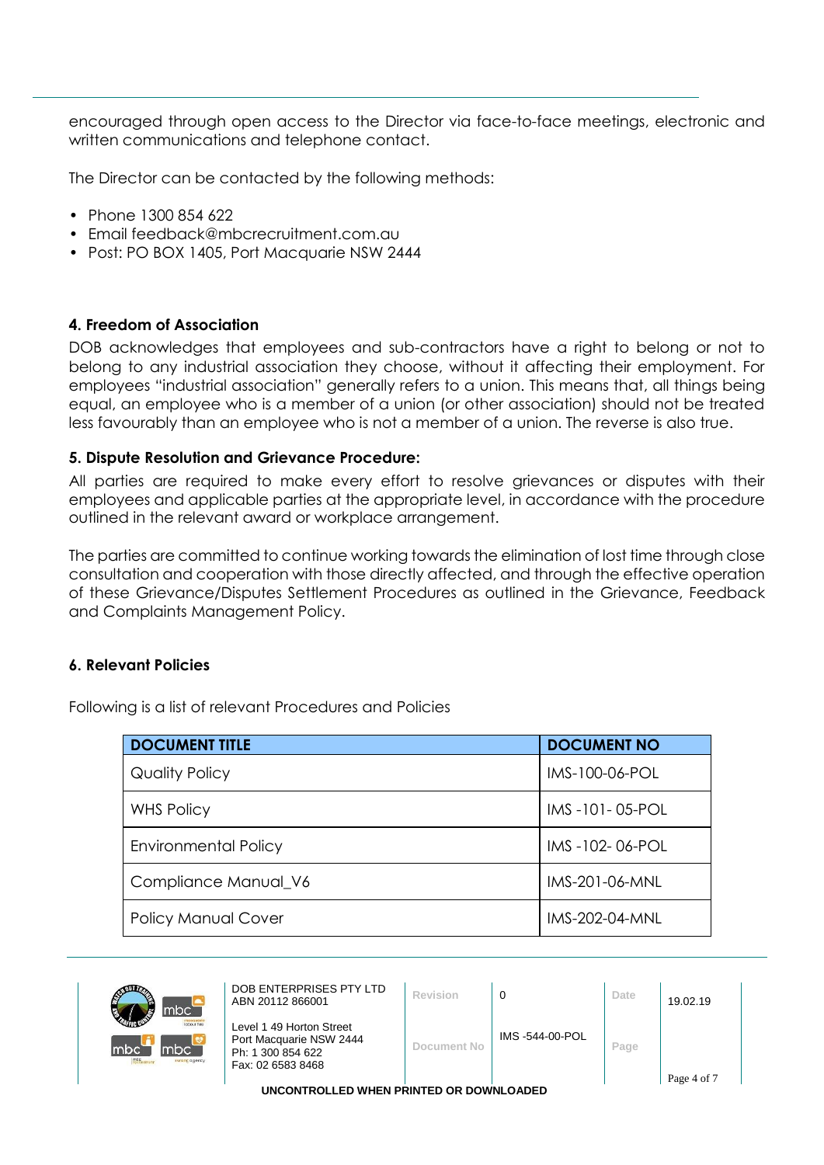encouraged through open access to the Director via face-to-face meetings, electronic and written communications and telephone contact.

The Director can be contacted by the following methods:

- Phone 1300 854 622
- Email feedback@mbcrecruitment.com.au
- Post: PO BOX 1405, Port Macquarie NSW 2444

#### **4. Freedom of Association**

DOB acknowledges that employees and sub-contractors have a right to belong or not to belong to any industrial association they choose, without it affecting their employment. For employees "industrial association" generally refers to a union. This means that, all things being equal, an employee who is a member of a union (or other association) should not be treated less favourably than an employee who is not a member of a union. The reverse is also true.

#### **5. Dispute Resolution and Grievance Procedure:**

All parties are required to make every effort to resolve grievances or disputes with their employees and applicable parties at the appropriate level, in accordance with the procedure outlined in the relevant award or workplace arrangement.

The parties are committed to continue working towards the elimination of lost time through close consultation and cooperation with those directly affected, and through the effective operation of these Grievance/Disputes Settlement Procedures as outlined in the Grievance, Feedback and Complaints Management Policy.

#### **6. Relevant Policies**

| <b>DOCUMENT TITLE</b>       | <b>DOCUMENT NO</b> |
|-----------------------------|--------------------|
| Quality Policy              | IMS-100-06-POL     |
| <b>WHS Policy</b>           | IMS-101-05-POL     |
| <b>Environmental Policy</b> | IMS-102-06-POL     |
| Compliance Manual_V6        | IMS-201-06-MNL     |
| <b>Policy Manual Cover</b>  | IMS-202-04-MNL     |

Following is a list of relevant Procedures and Policies



| DС                                       | DOB ENTERPRISES PTY LTD<br>ABN 20112 866001                                                   | Revision           |                | Date | 19.02.19    |  |
|------------------------------------------|-----------------------------------------------------------------------------------------------|--------------------|----------------|------|-------------|--|
| <b>Jobour hire</b><br>C.<br>rsing agency | Level 1 49 Horton Street<br>Port Macquarie NSW 2444<br>Ph: 1 300 854 622<br>Fax: 02 6583 8468 | <b>Document No</b> | IMS-544-00-POL | Page | Page 4 of 7 |  |

**UNCONTROLLED WHEN PRINTED OR DOWNLOADED**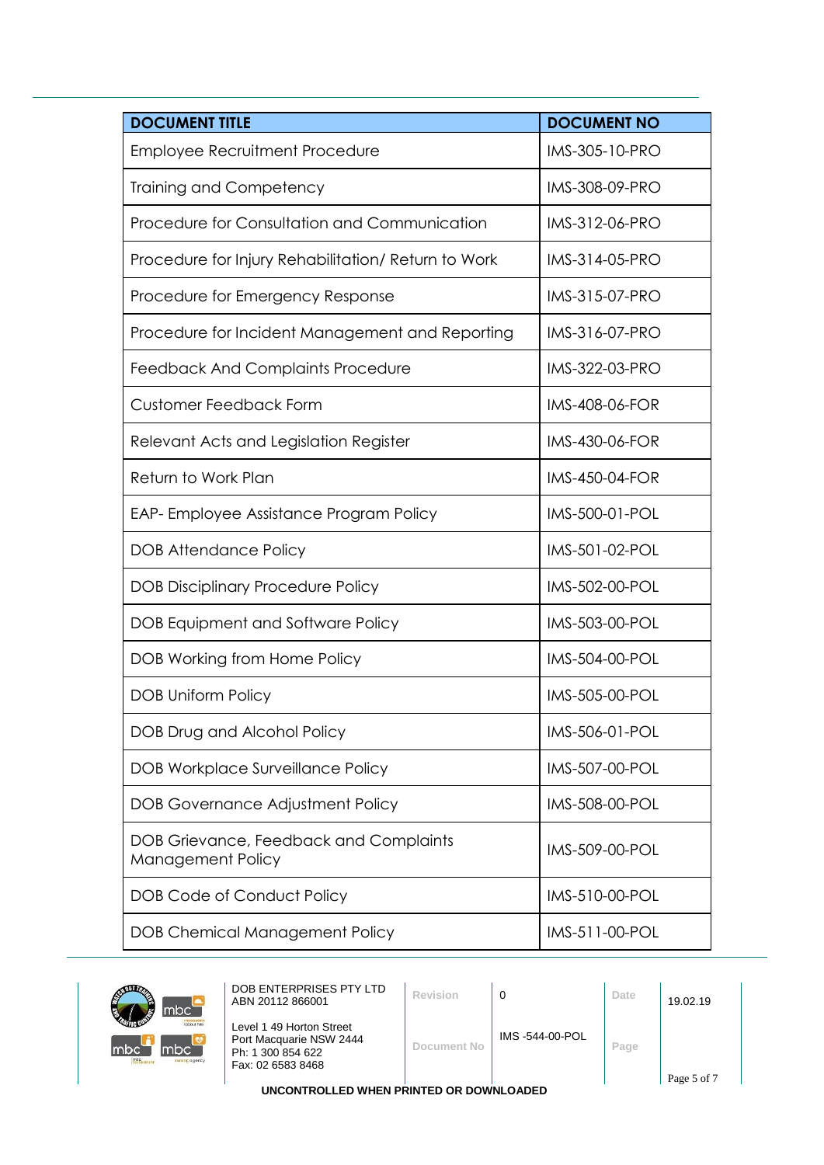| <b>DOCUMENT TITLE</b>                                       | <b>DOCUMENT NO</b>    |
|-------------------------------------------------------------|-----------------------|
| <b>Employee Recruitment Procedure</b>                       | IMS-305-10-PRO        |
| <b>Training and Competency</b>                              | IMS-308-09-PRO        |
| Procedure for Consultation and Communication                | IMS-312-06-PRO        |
| Procedure for Injury Rehabilitation/ Return to Work         | IMS-314-05-PRO        |
| Procedure for Emergency Response                            | IMS-315-07-PRO        |
| Procedure for Incident Management and Reporting             | IMS-316-07-PRO        |
| Feedback And Complaints Procedure                           | <b>IMS-322-03-PRO</b> |
| <b>Customer Feedback Form</b>                               | <b>IMS-408-06-FOR</b> |
| Relevant Acts and Legislation Register                      | <b>IMS-430-06-FOR</b> |
| Return to Work Plan                                         | <b>IMS-450-04-FOR</b> |
| EAP-Employee Assistance Program Policy                      | IMS-500-01-POL        |
| <b>DOB Attendance Policy</b>                                | IMS-501-02-POL        |
| <b>DOB Disciplinary Procedure Policy</b>                    | IMS-502-00-POL        |
| DOB Equipment and Software Policy                           | IMS-503-00-POL        |
| DOB Working from Home Policy                                | IMS-504-00-POL        |
| <b>DOB Uniform Policy</b>                                   | IMS-505-00-POL        |
| DOB Drug and Alcohol Policy                                 | IMS-506-01-POL        |
| <b>DOB Workplace Surveillance Policy</b>                    | IMS-507-00-POL        |
| <b>DOB Governance Adjustment Policy</b>                     | IMS-508-00-POL        |
| DOB Grievance, Feedback and Complaints<br>Management Policy | IMS-509-00-POL        |
| <b>DOB Code of Conduct Policy</b>                           | IMS-510-00-POL        |
| <b>DOB Chemical Management Policy</b>                       | IMS-511-00-POL        |



| DOB ENTERPRISES PTY LTD<br>ABN 20112 866001                                                   | Revision    | 0              | Date | 19.02.19    |  |
|-----------------------------------------------------------------------------------------------|-------------|----------------|------|-------------|--|
| Level 1 49 Horton Street<br>Port Macquarie NSW 2444<br>Ph: 1 300 854 622<br>Fax: 02 6583 8468 | Document No | IMS-544-00-POL | Page | Page 5 of 7 |  |

**UNCONTROLLED WHEN PRINTED OR DOWNLOADED**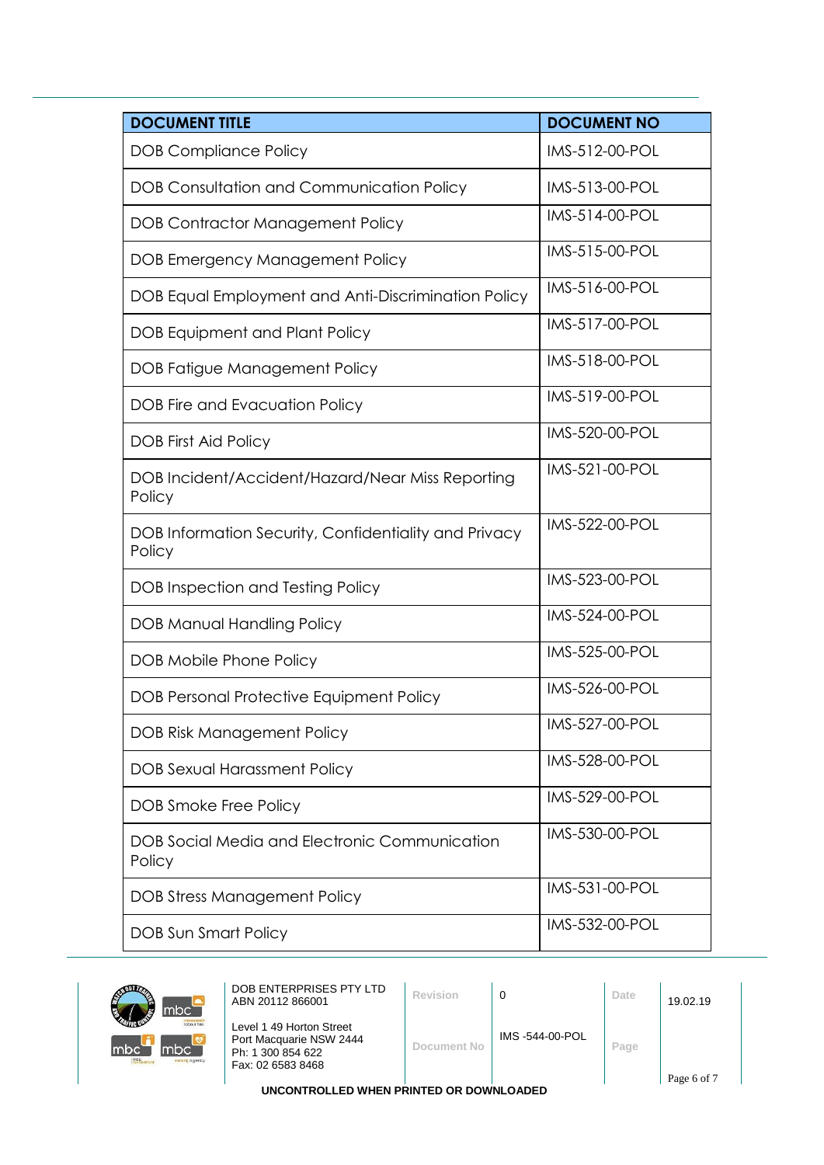| <b>DOCUMENT TITLE</b>                                           | <b>DOCUMENT NO</b> |
|-----------------------------------------------------------------|--------------------|
| <b>DOB Compliance Policy</b>                                    | IMS-512-00-POL     |
| DOB Consultation and Communication Policy                       | IMS-513-00-POL     |
| <b>DOB Contractor Management Policy</b>                         | IMS-514-00-POL     |
| DOB Emergency Management Policy                                 | IMS-515-00-POL     |
| DOB Equal Employment and Anti-Discrimination Policy             | IMS-516-00-POL     |
| <b>DOB Equipment and Plant Policy</b>                           | IMS-517-00-POL     |
| DOB Fatigue Management Policy                                   | IMS-518-00-POL     |
| DOB Fire and Evacuation Policy                                  | IMS-519-00-POL     |
| <b>DOB First Aid Policy</b>                                     | IMS-520-00-POL     |
| DOB Incident/Accident/Hazard/Near Miss Reporting<br>Policy      | IMS-521-00-POL     |
| DOB Information Security, Confidentiality and Privacy<br>Policy | IMS-522-00-POL     |
| DOB Inspection and Testing Policy                               | IMS-523-00-POL     |
| <b>DOB Manual Handling Policy</b>                               | IMS-524-00-POL     |
| DOB Mobile Phone Policy                                         | IMS-525-00-POL     |
| DOB Personal Protective Equipment Policy                        | IMS-526-00-POL     |
| <b>DOB Risk Management Policy</b>                               | IMS-527-00-POL     |
| <b>DOB Sexual Harassment Policy</b>                             | IMS-528-00-POL     |
| DOB Smoke Free Policy                                           | IMS-529-00-POL     |
| DOB Social Media and Electronic Communication<br>Policy         | IMS-530-00-POL     |
| <b>DOB Stress Management Policy</b>                             | IMS-531-00-POL     |
| DOB Sun Smart Policy                                            | IMS-532-00-POL     |



| DOB ENTERPRISES PTY LTD<br>ABN 20112 866001                                                   | Revision    |                | Date | 19.02.19    |
|-----------------------------------------------------------------------------------------------|-------------|----------------|------|-------------|
| Level 1 49 Horton Street<br>Port Macquarie NSW 2444<br>Ph: 1 300 854 622<br>Fax: 02 6583 8468 | Document No | IMS-544-00-POL | Page | Page 6 of 7 |

**UNCONTROLLED WHEN PRINTED OR DOWNLOADED**

Page 6 of 7